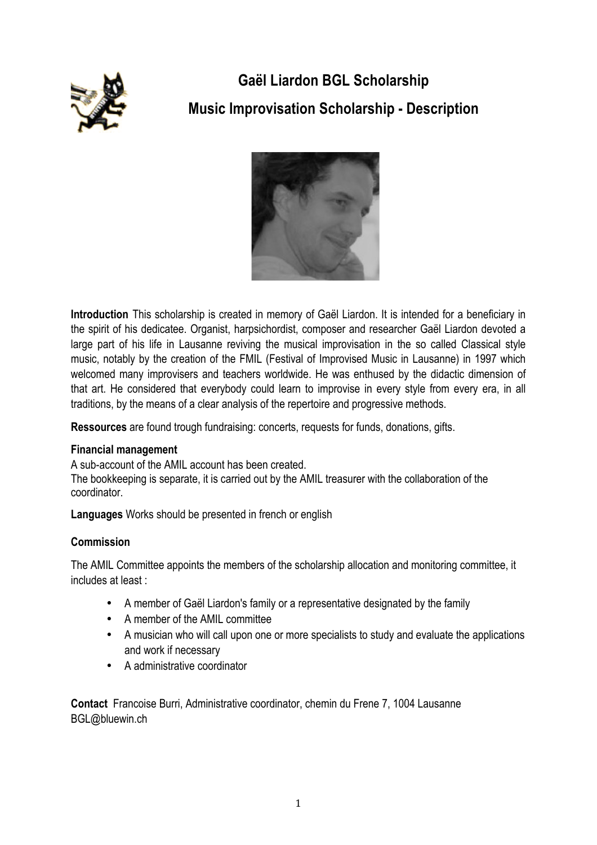

# **Gaël Liardon BGL Scholarship Music Improvisation Scholarship - Description**



**Introduction** This scholarship is created in memory of Gaël Liardon. It is intended for a beneficiary in the spirit of his dedicatee. Organist, harpsichordist, composer and researcher Gaël Liardon devoted a large part of his life in Lausanne reviving the musical improvisation in the so called Classical style music, notably by the creation of the FMIL (Festival of Improvised Music in Lausanne) in 1997 which welcomed many improvisers and teachers worldwide. He was enthused by the didactic dimension of that art. He considered that everybody could learn to improvise in every style from every era, in all traditions, by the means of a clear analysis of the repertoire and progressive methods.

**Ressources** are found trough fundraising: concerts, requests for funds, donations, gifts.

# **Financial management**

A sub-account of the AMIL account has been created.

The bookkeeping is separate, it is carried out by the AMIL treasurer with the collaboration of the coordinator.

**Languages** Works should be presented in french or english

# **Commission**

The AMIL Committee appoints the members of the scholarship allocation and monitoring committee, it includes at least:

- A member of Gaël Liardon's family or a representative designated by the family
- A member of the AMIL committee
- A musician who will call upon one or more specialists to study and evaluate the applications and work if necessary
- A administrative coordinator

**Contact** Francoise Burri, Administrative coordinator, chemin du Frene 7, 1004 Lausanne BGL@bluewin.ch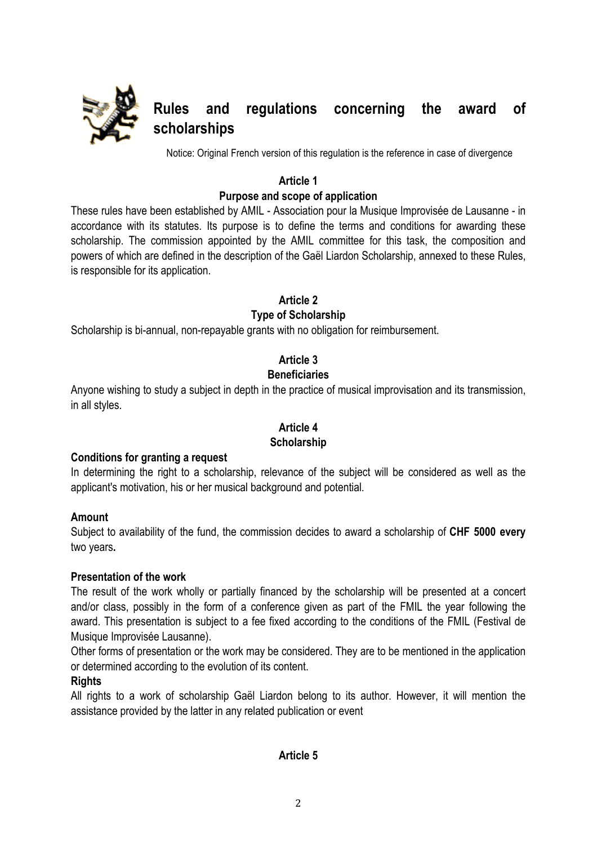

# **Rules and regulations concerning the award of scholarships**

Notice: Original French version of this regulation is the reference in case of divergence

# **Article 1**

# **Purpose and scope of application**

These rules have been established by AMIL - Association pour la Musique Improvisée de Lausanne - in accordance with its statutes. Its purpose is to define the terms and conditions for awarding these scholarship. The commission appointed by the AMIL committee for this task, the composition and powers of which are defined in the description of the Gaël Liardon Scholarship, annexed to these Rules, is responsible for its application.

**Article 2**

# **Type of Scholarship**

Scholarship is bi-annual, non-repayable grants with no obligation for reimbursement.

# **Article 3**

# **Beneficiaries**

Anyone wishing to study a subject in depth in the practice of musical improvisation and its transmission, in all styles.

# **Article 4**

#### **Scholarship**

#### **Conditions for granting a request**

In determining the right to a scholarship, relevance of the subject will be considered as well as the applicant's motivation, his or her musical background and potential.

#### **Amount**

Subject to availability of the fund, the commission decides to award a scholarship of **CHF 5000 every** two years**.** 

#### **Presentation of the work**

The result of the work wholly or partially financed by the scholarship will be presented at a concert and/or class, possibly in the form of a conference given as part of the FMIL the year following the award. This presentation is subject to a fee fixed according to the conditions of the FMIL (Festival de Musique Improvisée Lausanne).

Other forms of presentation or the work may be considered. They are to be mentioned in the application or determined according to the evolution of its content.

# **Rights**

All rights to a work of scholarship Gaël Liardon belong to its author. However, it will mention the assistance provided by the latter in any related publication or event

# **Article 5**